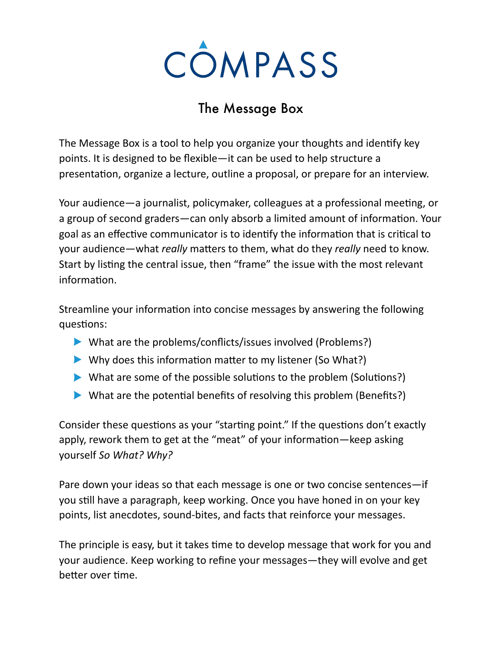

## The Message Box

The Message Box is a tool to help you organize your thoughts and identify key points. It is designed to be flexible—it can be used to help structure a presentation, organize a lecture, outline a proposal, or prepare for an interview.

Your audience—a journalist, policymaker, colleagues at a professional meeting, or a group of second graders—can only absorb a limited amount of information. Your goal as an effective communicator is to identify the information that is critical to your audience—what *really* matters to them, what do they *really* need to know. Start by listing the central issue, then "frame" the issue with the most relevant information.

Streamline your information into concise messages by answering the following questions:

- $\blacktriangleright$  What are the problems/conflicts/issues involved (Problems?)
- $\blacktriangleright$  Why does this information matter to my listener (So What?)
- $\triangleright$  What are some of the possible solutions to the problem (Solutions?)
- $\triangleright$  What are the potential benefits of resolving this problem (Benefits?)

Consider these questions as your "starting point." If the questions don't exactly apply, rework them to get at the "meat" of your information—keep asking yourself So What? Why?

Pare down your ideas so that each message is one or two concise sentences—if you still have a paragraph, keep working. Once you have honed in on your key points, list anecdotes, sound-bites, and facts that reinforce your messages.

The principle is easy, but it takes time to develop message that work for you and your audience. Keep working to refine your messages—they will evolve and get better over time.